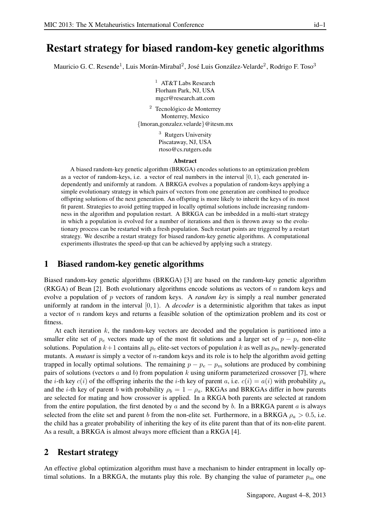# Restart strategy for biased random-key genetic algorithms

Mauricio G. C. Resende<sup>1</sup>, Luis Morán-Mirabal<sup>2</sup>, José Luis González-Velarde<sup>2</sup>, Rodrigo F. Toso<sup>3</sup>

<sup>1</sup> AT&T Labs Research Florham Park, NJ, USA mgcr@research.att.com

 $2$  Tecnológico de Monterrey Monterrey, Mexico {lmoran,gonzalez.velarde}@itesm.mx

> <sup>3</sup> Rutgers University Piscataway, NJ, USA rtoso@cs.rutgers.edu

#### Abstract

A biased random-key genetic algorithm (BRKGA) encodes solutions to an optimization problem as a vector of random-keys, i.e. a vector of real numbers in the interval  $[0, 1)$ , each generated independently and uniformly at random. A BRKGA evolves a population of random-keys applying a simple evolutionary strategy in which pairs of vectors from one generation are combined to produce offspring solutions of the next generation. An offspring is more likely to inherit the keys of its most fit parent. Strategies to avoid getting trapped in locally optimal solutions include increasing randomness in the algorithm and population restart. A BRKGA can be imbedded in a multi-start strategy in which a population is evolved for a number of iterations and then is thrown away so the evolutionary process can be restarted with a fresh population. Such restart points are triggered by a restart strategy. We describe a restart strategy for biased random-key genetic algorithms. A computational experiments illustrates the speed-up that can be achieved by applying such a strategy.

### 1 Biased random-key genetic algorithms

Biased random-key genetic algorithms (BRKGA) [3] are based on the random-key genetic algorithm (RKGA) of Bean  $[2]$ . Both evolutionary algorithms encode solutions as vectors of n random keys and evolve a population of p vectors of random keys. A *random key* is simply a real number generated uniformly at random in the interval [0, 1). A *decoder* is a deterministic algorithm that takes as input a vector of n random keys and returns a feasible solution of the optimization problem and its cost or fitness.

At each iteration k, the random-key vectors are decoded and the population is partitioned into a smaller elite set of  $p_e$  vectors made up of the most fit solutions and a larger set of  $p - p_e$  non-elite solutions. Population  $k+1$  contains all  $p_e$  elite-set vectors of population k as well as  $p_m$  newly-generated mutants. A *mutant* is simply a vector of n-random keys and its role is to help the algorithm avoid getting trapped in locally optimal solutions. The remaining  $p - p_e - p_m$  solutions are produced by combining pairs of solutions (vectors a and b) from population k using uniform parameterized crossover [7], where the *i*-th key  $c(i)$  of the offspring inherits the the *i*-th key of parent a, i.e.  $c(i) = a(i)$  with probability  $\rho_a$ and the *i*-th key of parent *b* with probability  $\rho_b = 1 - \rho_a$ . RKGAs and BRKGAs differ in how parents are selected for mating and how crossover is applied. In a RKGA both parents are selected at random from the entire population, the first denoted by  $a$  and the second by  $b$ . In a BRKGA parent  $a$  is always selected from the elite set and parent b from the non-elite set. Furthermore, in a BRKGA  $\rho_a > 0.5$ , i.e. the child has a greater probability of inheriting the key of its elite parent than that of its non-elite parent. As a result, a BRKGA is almost always more efficient than a RKGA [4].

#### 2 Restart strategy

An effective global optimization algorithm must have a mechanism to hinder entrapment in locally optimal solutions. In a BRKGA, the mutants play this role. By changing the value of parameter  $p_m$  one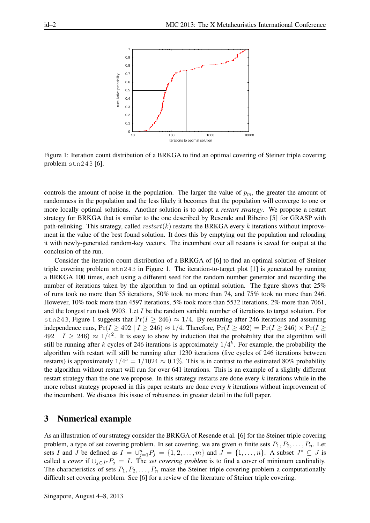

Figure 1: Iteration count distribution of a BRKGA to find an optimal covering of Steiner triple covering problem stn243 [6].

controls the amount of noise in the population. The larger the value of  $p_m$ , the greater the amount of randomness in the population and the less likely it becomes that the population will converge to one or more locally optimal solutions. Another solution is to adopt a *restart strategy*. We propose a restart strategy for BRKGA that is similar to the one described by Resende and Ribeiro [5] for GRASP with path-relinking. This strategy, called  $restart(k)$  restarts the BRKGA every k iterations without improvement in the value of the best found solution. It does this by emptying out the population and reloading it with newly-generated random-key vectors. The incumbent over all restarts is saved for output at the conclusion of the run.

Consider the iteration count distribution of a BRKGA of [6] to find an optimal solution of Steiner triple covering problem  $\text{str}243$  in Figure 1. The iteration-to-target plot [1] is generated by running a BRKGA 100 times, each using a different seed for the random number generator and recording the number of iterations taken by the algorithm to find an optimal solution. The figure shows that 25% of runs took no more than 55 iterations, 50% took no more than 74, and 75% took no more than 246. However, 10% took more than 4597 iterations, 5% took more than 5532 iterations, 2% more than 7061, and the longest run took 9903. Let I be the random variable number of iterations to target solution. For stn243, Figure 1 suggests that  $Pr(I \ge 246) \approx 1/4$ . By restarting after 246 iterations and assuming independence runs,  $Pr(I \ge 492 \mid I \ge 246) \approx 1/4$ . Therefore,  $Pr(I \ge 492) = Pr(I \ge 246) \times Pr(I \ge 492)$  $492$   $\mid I \geq 246$ )  $\approx 1/4^2$ . It is easy to show by induction that the probability that the algorithm will still be running after k cycles of 246 iterations is approximately  $1/4^k$ . For example, the probability the algorithm with restart will still be running after 1230 iterations (five cycles of 246 iterations between restarts) is approximately  $1/4^5 = 1/1024 \approx 0.1\%$ . This is in contrast to the estimated 80% probability the algorithm without restart will run for over 641 iterations. This is an example of a slightly different restart strategy than the one we propose. In this strategy restarts are done every  $k$  iterations while in the more robust strategy proposed in this paper restarts are done every k iterations without improvement of the incumbent. We discuss this issue of robustness in greater detail in the full paper.

# 3 Numerical example

As an illustration of our strategy consider the BRKGA of Resende et al. [6] for the Steiner triple covering problem, a type of set covering problem. In set covering, we are given n finite sets  $P_1, P_2, \ldots, P_n$ . Let sets I and J be defined as  $I = \bigcup_{j=1}^{n} P_j = \{1, 2, ..., m\}$  and  $J = \{1, ..., n\}$ . A subset  $J^* \subseteq J$  is called a *cover* if  $\bigcup_{j\in J^*} P_j = I$ . The *set covering problem* is to find a cover of minimum cardinality. The characteristics of sets  $P_1, P_2, \ldots, P_n$  make the Steiner triple covering problem a computationally difficult set covering problem. See [6] for a review of the literature of Steiner triple covering.